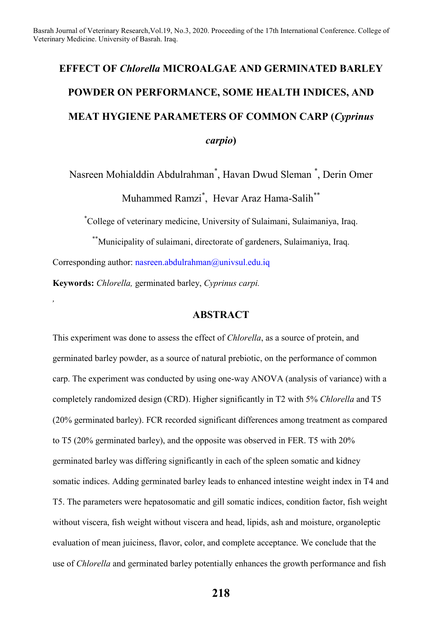# **EFFECT OF** *Chlorella* **MICROALGAE AND GERMINATED BARLEY POWDER ON PERFORMANCE, SOME HEALTH INDICES, AND MEAT HYGIENE PARAMETERS OF COMMON CARP (***Cyprinus carpio***)**

Nasreen Mohialddin Abdulrahman\* , Havan Dwud Sleman \* , Derin Omer Muhammed Ramzi\* , Hevar Araz Hama-Salih\*\*

\* College of veterinary medicine, University of Sulaimani, Sulaimaniya, Iraq.

\*\*Municipality of sulaimani, directorate of gardeners, Sulaimaniya, Iraq. Corresponding author: nasreen.abdulrahman@univsul.edu.iq

**Keywords:** *Chlorella,* germinated barley, *Cyprinus carpi.*

*,*

### **ABSTRACT**

This experiment was done to assess the effect of *Chlorella*, as a source of protein, and germinated barley powder, as a source of natural prebiotic, on the performance of common carp. The experiment was conducted by using one-way ANOVA (analysis of variance) with a completely randomized design (CRD). Higher significantly in T2 with 5% *Chlorella* and T5 (20% germinated barley). FCR recorded significant differences among treatment as compared to T5 (20% germinated barley), and the opposite was observed in FER. T5 with 20% germinated barley was differing significantly in each of the spleen somatic and kidney somatic indices. Adding germinated barley leads to enhanced intestine weight index in T4 and T5. The parameters were hepatosomatic and gill somatic indices, condition factor, fish weight without viscera, fish weight without viscera and head, lipids, ash and moisture, organoleptic evaluation of mean juiciness, flavor, color, and complete acceptance. We conclude that the use of *Chlorella* and germinated barley potentially enhances the growth performance and fish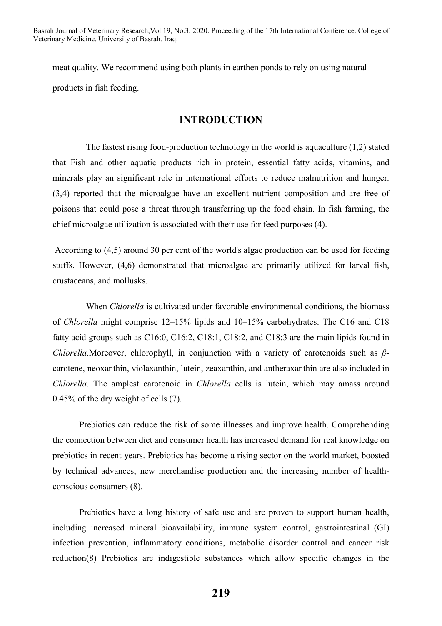meat quality. We recommend using both plants in earthen ponds to rely on using natural products in fish feeding.

#### **INTRODUCTION**

 The fastest rising food-production technology in the world is aquaculture (1,2) stated that Fish and other aquatic products rich in protein, essential fatty acids, vitamins, and minerals play an significant role in international efforts to reduce malnutrition and hunger. (3,4) reported that the microalgae have an excellent nutrient composition and are free of poisons that could pose a threat through transferring up the food chain. In fish farming, the chief microalgae utilization is associated with their use for feed purposes (4).

According to (4,5) around 30 per cent of the world's algae production can be used for feeding stuffs. However, (4,6) demonstrated that microalgae are primarily utilized for larval fish, crustaceans, and mollusks.

When *Chlorella* is cultivated under favorable environmental conditions, the biomass of *Chlorella* might comprise 12–15% lipids and 10–15% carbohydrates. The C16 and C18 fatty acid groups such as C16:0, C16:2, C18:1, C18:2, and C18:3 are the main lipids found in *Chlorella,*Moreover, chlorophyll, in conjunction with a variety of carotenoids such as *β*carotene, neoxanthin, violaxanthin, lutein, zeaxanthin, and antheraxanthin are also included in *Chlorella*. The amplest carotenoid in *Chlorella* cells is lutein, which may amass around 0.45% of the dry weight of cells (7).

Prebiotics can reduce the risk of some illnesses and improve health. Comprehending the connection between diet and consumer health has increased demand for real knowledge on prebiotics in recent years. Prebiotics has become a rising sector on the world market, boosted by technical advances, new merchandise production and the increasing number of healthconscious consumers (8).

Prebiotics have a long history of safe use and are proven to support human health, including increased mineral bioavailability, immune system control, gastrointestinal (GI) infection prevention, inflammatory conditions, metabolic disorder control and cancer risk reduction(8) Prebiotics are indigestible substances which allow specific changes in the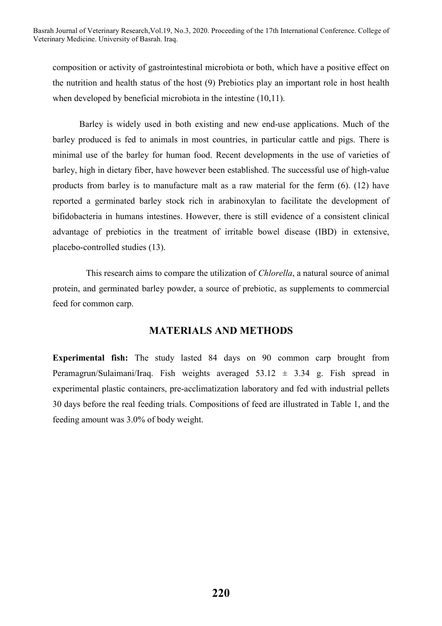composition or activity of gastrointestinal microbiota or both, which have a positive effect on the nutrition and health status of the host (9) Prebiotics play an important role in host health when developed by beneficial microbiota in the intestine (10,11).

Barley is widely used in both existing and new end-use applications. Much of the barley produced is fed to animals in most countries, in particular cattle and pigs. There is minimal use of the barley for human food. Recent developments in the use of varieties of barley, high in dietary fiber, have however been established. The successful use of high-value products from barley is to manufacture malt as a raw material for the ferm (6). (12) have reported a germinated barley stock rich in arabinoxylan to facilitate the development of bifidobacteria in humans intestines. However, there is still evidence of a consistent clinical advantage of prebiotics in the treatment of irritable bowel disease (IBD) in extensive, placebo-controlled studies (13).

This research aims to compare the utilization of *Chlorella*, a natural source of animal protein, and germinated barley powder, a source of prebiotic, as supplements to commercial feed for common carp.

## **MATERIALS AND METHODS**

**Experimental fish:** The study lasted 84 days on 90 common carp brought from Peramagrun/Sulaimani/Iraq. Fish weights averaged  $53.12 \pm 3.34$  g. Fish spread in experimental plastic containers, pre-acclimatization laboratory and fed with industrial pellets 30 days before the real feeding trials. Compositions of feed are illustrated in Table 1, and the feeding amount was 3.0% of body weight.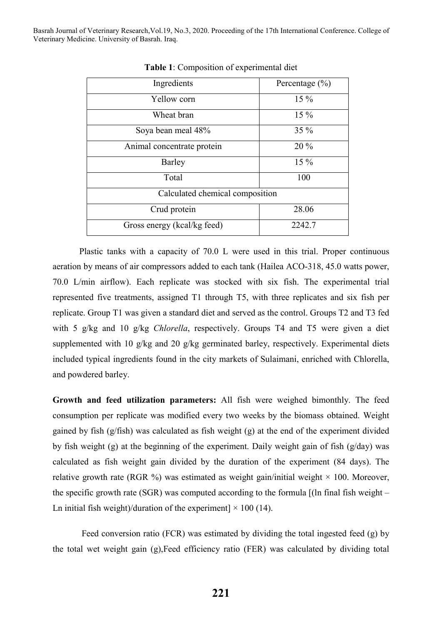| Ingredients                     | Percentage $(\% )$ |  |  |  |  |
|---------------------------------|--------------------|--|--|--|--|
| Yellow corn                     | $15\%$             |  |  |  |  |
| Wheat bran                      | $15\%$             |  |  |  |  |
| Soya bean meal 48%              | $35\%$             |  |  |  |  |
| Animal concentrate protein      | 20 %               |  |  |  |  |
| Barley                          | $15\%$             |  |  |  |  |
| Total                           | 100                |  |  |  |  |
| Calculated chemical composition |                    |  |  |  |  |
| Crud protein                    | 28.06              |  |  |  |  |
| Gross energy (kcal/kg feed)     | 2242.7             |  |  |  |  |

**Table 1**: Composition of experimental diet

Plastic tanks with a capacity of 70.0 L were used in this trial. Proper continuous aeration by means of air compressors added to each tank (Hailea ACO-318, 45.0 watts power, 70.0 L/min airflow). Each replicate was stocked with six fish. The experimental trial represented five treatments, assigned T1 through T5, with three replicates and six fish per replicate. Group T1 was given a standard diet and served as the control. Groups T2 and T3 fed with 5 g/kg and 10 g/kg *Chlorella*, respectively. Groups T4 and T5 were given a diet supplemented with 10 g/kg and 20 g/kg germinated barley, respectively. Experimental diets included typical ingredients found in the city markets of Sulaimani, enriched with Chlorella, and powdered barley.

**Growth and feed utilization parameters:** All fish were weighed bimonthly. The feed consumption per replicate was modified every two weeks by the biomass obtained. Weight gained by fish (g/fish) was calculated as fish weight (g) at the end of the experiment divided by fish weight (g) at the beginning of the experiment. Daily weight gain of fish (g/day) was calculated as fish weight gain divided by the duration of the experiment (84 days). The relative growth rate (RGR  $\%$ ) was estimated as weight gain/initial weight  $\times$  100. Moreover, the specific growth rate (SGR) was computed according to the formula [(ln final fish weight – Ln initial fish weight)/duration of the experiment]  $\times$  100 (14).

Feed conversion ratio (FCR) was estimated by dividing the total ingested feed (g) by the total wet weight gain (g),Feed efficiency ratio (FER) was calculated by dividing total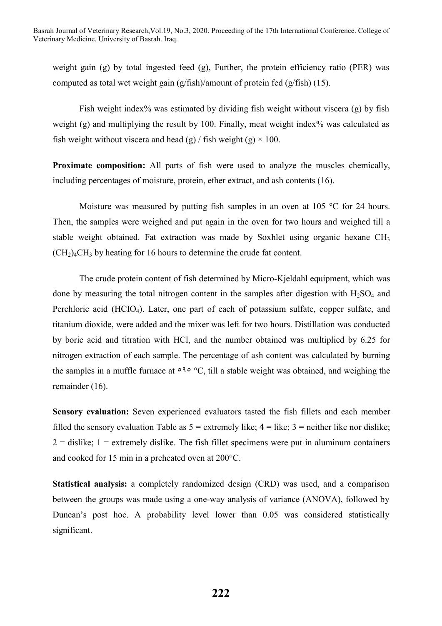weight gain (g) by total ingested feed (g), Further, the protein efficiency ratio (PER) was computed as total wet weight gain (g/fish)/amount of protein fed (g/fish) (15).

Fish weight index% was estimated by dividing fish weight without viscera (g) by fish weight (g) and multiplying the result by 100. Finally, meat weight index% was calculated as fish weight without viscera and head (g) / fish weight (g)  $\times$  100.

**Proximate composition:** All parts of fish were used to analyze the muscles chemically, including percentages of moisture, protein, ether extract, and ash contents (16).

Moisture was measured by putting fish samples in an oven at 105 °C for 24 hours. Then, the samples were weighed and put again in the oven for two hours and weighed till a stable weight obtained. Fat extraction was made by Soxhlet using organic hexane CH3  $(CH<sub>2</sub>)<sub>4</sub>CH<sub>3</sub>$  by heating for 16 hours to determine the crude fat content.

The crude protein content of fish determined by Micro-Kjeldahl equipment, which was done by measuring the total nitrogen content in the samples after digestion with  $H_2SO_4$  and Perchloric acid (HCIO4). Later, one part of each of potassium sulfate, copper sulfate, and titanium dioxide, were added and the mixer was left for two hours. Distillation was conducted by boric acid and titration with HCl, and the number obtained was multiplied by 6.25 for nitrogen extraction of each sample. The percentage of ash content was calculated by burning the samples in a muffle furnace at  $0.90 \degree C$ , till a stable weight was obtained, and weighing the remainder (16).

**Sensory evaluation:** Seven experienced evaluators tasted the fish fillets and each member filled the sensory evaluation Table as  $5 =$  extremely like;  $4 =$  like;  $3 =$  neither like nor dislike;  $2 =$  dislike;  $1 =$  extremely dislike. The fish fillet specimens were put in aluminum containers and cooked for 15 min in a preheated oven at 200°C.

**Statistical analysis:** a completely randomized design (CRD) was used, and a comparison between the groups was made using a one-way analysis of variance (ANOVA), followed by Duncan's post hoc. A probability level lower than 0.05 was considered statistically significant.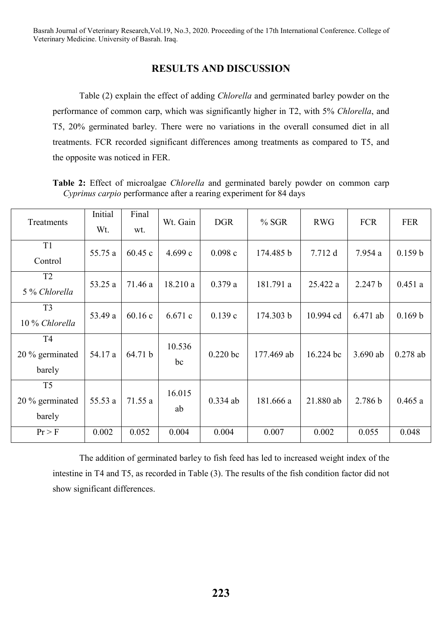## **RESULTS AND DISCUSSION**

Table (2) explain the effect of adding *Chlorella* and germinated barley powder on the performance of common carp, which was significantly higher in T2, with 5% *Chlorella*, and T5, 20% germinated barley. There were no variations in the overall consumed diet in all treatments. FCR recorded significant differences among treatments as compared to T5, and the opposite was noticed in FER.

**Table 2:** Effect of microalgae *Chlorella* and germinated barely powder on common carp *Cyprinus carpio* performance after a rearing experiment for 84 days

| Treatments                                  | Initial<br>Wt. | Final<br>wt. | Wt. Gain     | <b>DGR</b> | % SGR      | <b>RWG</b> | <b>FCR</b> | <b>FER</b> |
|---------------------------------------------|----------------|--------------|--------------|------------|------------|------------|------------|------------|
| T <sub>1</sub><br>Control                   | 55.75 a        | 60.45c       | 4.699c       | 0.098c     | 174.485 b  | 7.712 d    | 7.954 a    | 0.159 b    |
| T <sub>2</sub><br>5 % Chlorella             | 53.25 a        | 71.46 a      | 18.210 a     | 0.379a     | 181.791 a  | 25.422 a   | 2.247 b    | 0.451a     |
| T <sub>3</sub><br>10 % Chlorella            | 53.49 a        | 60.16c       | 6.671c       | 0.139c     | 174.303 b  | 10.994 cd  | 6.471 ab   | 0.169 b    |
| <b>T4</b><br>20 % germinated<br>barely      | 54.17 a        | 64.71 b      | 10.536<br>bc | $0.220$ bc | 177.469 ab | 16.224 bc  | $3.690$ ab | $0.278$ ab |
| T <sub>5</sub><br>20 % germinated<br>barely | 55.53 a        | 71.55a       | 16.015<br>ab | $0.334$ ab | 181.666 a  | 21.880 ab  | 2.786 b    | 0.465a     |
| Pr > F                                      | 0.002          | 0.052        | 0.004        | 0.004      | 0.007      | 0.002      | 0.055      | 0.048      |

The addition of germinated barley to fish feed has led to increased weight index of the intestine in T4 and T5, as recorded in Table (3). The results of the fish condition factor did not show significant differences.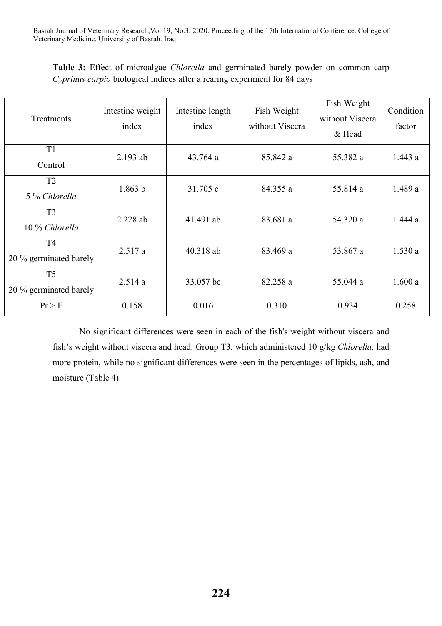**Table 3:** Effect of microalgae *Chlorella* and germinated barely powder on common carp *Cyprinus carpio* biological indices after a rearing experiment for 84 days

| Treatments                               | Intestine weight<br>index | Intestine length<br>index | Fish Weight<br>without Viscera | Fish Weight<br>without Viscera<br>& Head | Condition<br>factor |
|------------------------------------------|---------------------------|---------------------------|--------------------------------|------------------------------------------|---------------------|
| T1<br>Control                            | $2.193$ ab                | 43.764 a                  | 85.842 a                       | 55.382 a                                 | 1.443a              |
| T <sub>2</sub><br>5 % Chlorella          | 1.863 b                   | 31.705 c                  | 84.355 a                       | 55.814 a                                 | 1.489a              |
| T <sub>3</sub><br>10 % Chlorella         | 2.228 ab                  | 41.491 ab                 | 83.681 a                       | 54.320 a                                 | 1.444a              |
| T <sub>4</sub><br>20 % germinated barely | 2.517a                    | $40.318$ ab               | 83.469 a                       | 53.867 a                                 | 1.530a              |
| T <sub>5</sub><br>20 % germinated barely | 2.514a                    | 33.057 bc                 | 82.258 a                       | 55.044 a                                 | 1.600a              |
| Pr > F                                   | 0.158                     | 0.016                     | 0.310                          | 0.934                                    | 0.258               |

No significant differences were seen in each of the fish's weight without viscera and fish's weight without viscera and head. Group T3, which administered 10 g/kg *Chlorella,* had more protein, while no significant differences were seen in the percentages of lipids, ash, and moisture (Table 4).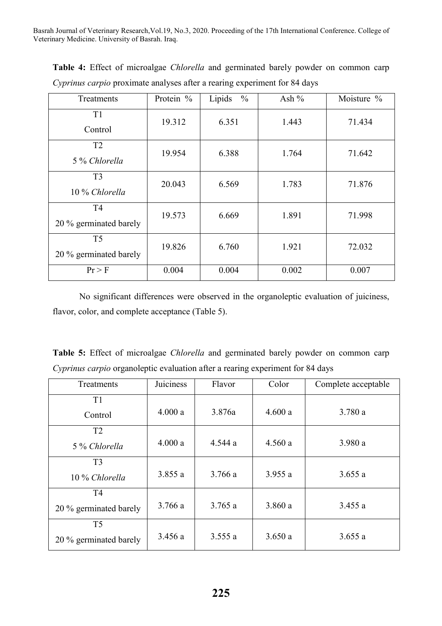| Treatments                               | Protein % | Lipids<br>$\frac{0}{0}$ | Ash $%$ | Moisture % |
|------------------------------------------|-----------|-------------------------|---------|------------|
| T1<br>Control                            | 19.312    | 6.351                   | 1.443   | 71.434     |
| T2<br>5 % Chlorella                      | 19.954    | 6.388                   | 1.764   | 71.642     |
| T <sub>3</sub><br>10 % Chlorella         | 20.043    | 6.569                   | 1.783   | 71.876     |
| T <sub>4</sub><br>20 % germinated barely | 19.573    | 6.669                   | 1.891   | 71.998     |
| T <sub>5</sub><br>20 % germinated barely | 19.826    | 6.760                   | 1.921   | 72.032     |
| Pr > F                                   | 0.004     | 0.004                   | 0.002   | 0.007      |

**Table 4:** Effect of microalgae *Chlorella* and germinated barely powder on common carp *Cyprinus carpio* proximate analyses after a rearing experiment for 84 days

No significant differences were observed in the organoleptic evaluation of juiciness, flavor, color, and complete acceptance (Table 5).

**Table 5:** Effect of microalgae *Chlorella* and germinated barely powder on common carp *Cyprinus carpio* organoleptic evaluation after a rearing experiment for 84 days

| Treatments             | Juiciness | Flavor  | Color   | Complete acceptable |
|------------------------|-----------|---------|---------|---------------------|
| T1<br>Control          | 4.000a    | 3.876a  | 4.600a  | 3.780 a             |
| T2                     |           |         |         |                     |
| 5 % Chlorella          | 4.000a    | 4.544 a | 4.560a  | 3.980 a             |
| T <sub>3</sub>         |           |         |         |                     |
| 10 % Chlorella         | 3.855a    | 3.766a  | 3.955 a | 3.655a              |
| T <sub>4</sub>         |           |         |         |                     |
| 20 % germinated barely | 3.766a    | 3.765a  | 3.860a  | 3.455a              |
| T <sub>5</sub>         |           |         |         |                     |
| 20 % germinated barely | 3.456a    | 3.555a  | 3.650a  | 3.655a              |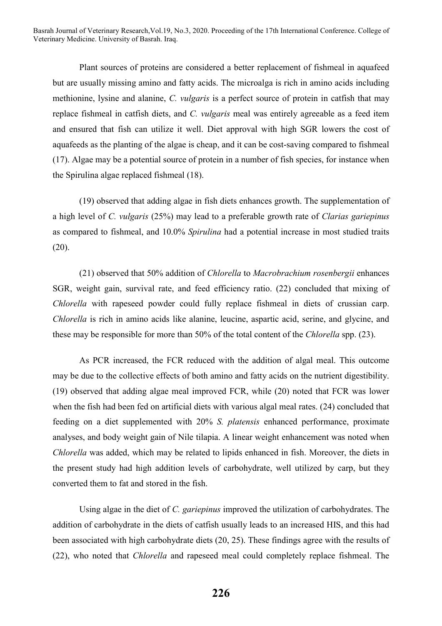Plant sources of proteins are considered a better replacement of fishmeal in aquafeed but are usually missing amino and fatty acids. The microalga is rich in amino acids including methionine, lysine and alanine, *C. vulgaris* is a perfect source of protein in catfish that may replace fishmeal in catfish diets, and *C. vulgaris* meal was entirely agreeable as a feed item and ensured that fish can utilize it well. Diet approval with high SGR lowers the cost of aquafeeds as the planting of the algae is cheap, and it can be cost-saving compared to fishmeal (17). Algae may be a potential source of protein in a number of fish species, for instance when the Spirulina algae replaced fishmeal (18).

(19) observed that adding algae in fish diets enhances growth. The supplementation of a high level of *C. vulgaris* (25%) may lead to a preferable growth rate of *Clarias gariepinus*  as compared to fishmeal, and 10.0% *Spirulina* had a potential increase in most studied traits (20).

(21) observed that 50% addition of *Chlorella* to *Macrobrachium rosenbergii* enhances SGR, weight gain, survival rate, and feed efficiency ratio. (22) concluded that mixing of *Chlorella* with rapeseed powder could fully replace fishmeal in diets of crussian carp. *Chlorella* is rich in amino acids like alanine, leucine, aspartic acid, serine, and glycine, and these may be responsible for more than 50% of the total content of the *Chlorella* spp. (23).

As PCR increased, the FCR reduced with the addition of algal meal. This outcome may be due to the collective effects of both amino and fatty acids on the nutrient digestibility. (19) observed that adding algae meal improved FCR, while (20) noted that FCR was lower when the fish had been fed on artificial diets with various algal meal rates. (24) concluded that feeding on a diet supplemented with 20% *S. platensis* enhanced performance, proximate analyses, and body weight gain of Nile tilapia. A linear weight enhancement was noted when *Chlorella* was added, which may be related to lipids enhanced in fish. Moreover, the diets in the present study had high addition levels of carbohydrate, well utilized by carp, but they converted them to fat and stored in the fish.

Using algae in the diet of *C. gariepinus* improved the utilization of carbohydrates. The addition of carbohydrate in the diets of catfish usually leads to an increased HIS, and this had been associated with high carbohydrate diets (20, 25). These findings agree with the results of (22), who noted that *Chlorella* and rapeseed meal could completely replace fishmeal. The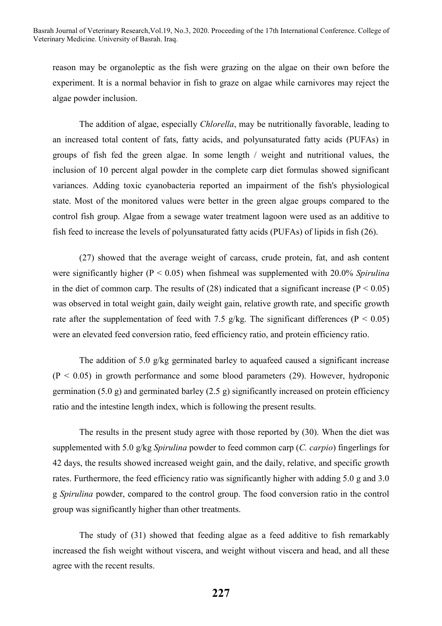reason may be organoleptic as the fish were grazing on the algae on their own before the experiment. It is a normal behavior in fish to graze on algae while carnivores may reject the algae powder inclusion.

The addition of algae, especially *Chlorella*, may be nutritionally favorable, leading to an increased total content of fats, fatty acids, and polyunsaturated fatty acids (PUFAs) in groups of fish fed the green algae. In some length / weight and nutritional values, the inclusion of 10 percent algal powder in the complete carp diet formulas showed significant variances. Adding toxic cyanobacteria reported an impairment of the fish's physiological state. Most of the monitored values were better in the green algae groups compared to the control fish group. Algae from a sewage water treatment lagoon were used as an additive to fish feed to increase the levels of polyunsaturated fatty acids (PUFAs) of lipids in fish (26).

(27) showed that the average weight of carcass, crude protein, fat, and ash content were significantly higher (P < 0.05) when fishmeal was supplemented with 20.0% *Spirulina* in the diet of common carp. The results of  $(28)$  indicated that a significant increase  $(P < 0.05)$ was observed in total weight gain, daily weight gain, relative growth rate, and specific growth rate after the supplementation of feed with 7.5 g/kg. The significant differences ( $P < 0.05$ ) were an elevated feed conversion ratio, feed efficiency ratio, and protein efficiency ratio.

The addition of 5.0 g/kg germinated barley to aquafeed caused a significant increase  $(P < 0.05)$  in growth performance and some blood parameters  $(29)$ . However, hydroponic germination (5.0 g) and germinated barley (2.5 g) significantly increased on protein efficiency ratio and the intestine length index, which is following the present results.

The results in the present study agree with those reported by (30). When the diet was supplemented with 5.0 g/kg *Spirulina* powder to feed common carp (*C. carpio*) fingerlings for 42 days, the results showed increased weight gain, and the daily, relative, and specific growth rates. Furthermore, the feed efficiency ratio was significantly higher with adding 5.0 g and 3.0 g *Spirulina* powder, compared to the control group. The food conversion ratio in the control group was significantly higher than other treatments.

The study of (31) showed that feeding algae as a feed additive to fish remarkably increased the fish weight without viscera, and weight without viscera and head, and all these agree with the recent results.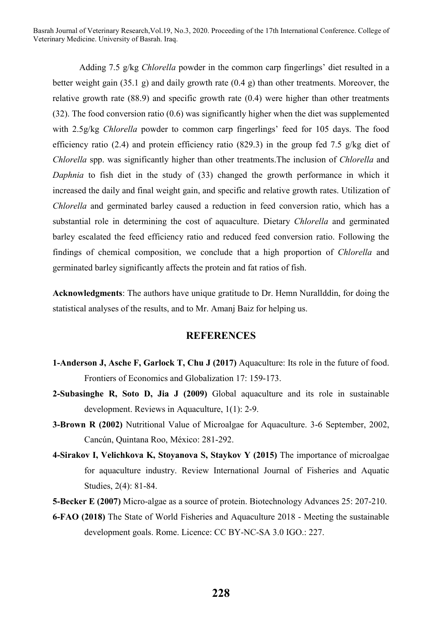Adding 7.5 g/kg *Chlorella* powder in the common carp fingerlings' diet resulted in a better weight gain (35.1 g) and daily growth rate (0.4 g) than other treatments. Moreover, the relative growth rate (88.9) and specific growth rate (0.4) were higher than other treatments (32). The food conversion ratio (0.6) was significantly higher when the diet was supplemented with 2.5g/kg *Chlorella* powder to common carp fingerlings' feed for 105 days. The food efficiency ratio (2.4) and protein efficiency ratio (829.3) in the group fed 7.5 g/kg diet of *Chlorella* spp. was significantly higher than other treatments.The inclusion of *Chlorella* and *Daphnia* to fish diet in the study of (33) changed the growth performance in which it increased the daily and final weight gain, and specific and relative growth rates. Utilization of *Chlorella* and germinated barley caused a reduction in feed conversion ratio, which has a substantial role in determining the cost of aquaculture. Dietary *Chlorella* and germinated barley escalated the feed efficiency ratio and reduced feed conversion ratio. Following the findings of chemical composition, we conclude that a high proportion of *Chlorella* and germinated barley significantly affects the protein and fat ratios of fish.

**Acknowledgments**: The authors have unique gratitude to Dr. Hemn Nurallddin, for doing the statistical analyses of the results, and to Mr. Amanj Baiz for helping us.

#### **REFERENCES**

- **1-Anderson J, Asche F, Garlock T, Chu J (2017)** Aquaculture: Its role in the future of food. Frontiers of Economics and Globalization 17: 159-173.
- **2-Subasinghe R, Soto D, Jia J (2009)** Global aquaculture and its role in sustainable development. Reviews in Aquaculture, 1(1): 2-9.
- **3-Brown R (2002)** Nutritional Value of Microalgae for Aquaculture. 3-6 September, 2002, Cancún, Quintana Roo, México: 281-292.
- **4-Sirakov I, Velichkova K, Stoyanova S, Staykov Y (2015)** The importance of microalgae for aquaculture industry. Review International Journal of Fisheries and Aquatic Studies, 2(4): 81-84.
- **5-Becker E (2007)** Micro-algae as a source of protein. Biotechnology Advances 25: 207-210.
- **6-FAO (2018)** The State of World Fisheries and Aquaculture 2018 Meeting the sustainable development goals. Rome. Licence: CC BY-NC-SA 3.0 IGO.: 227.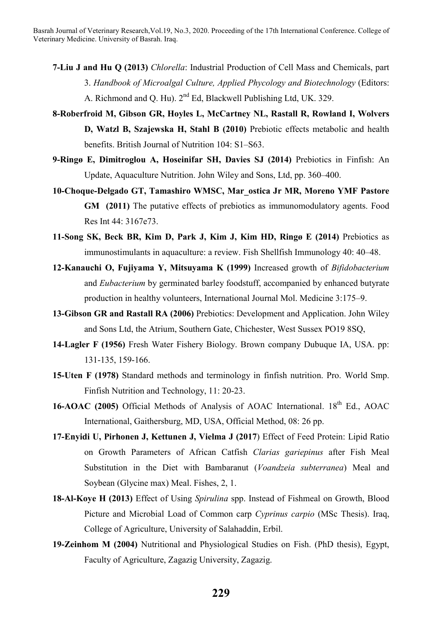- **7-Liu J and Hu Q (2013)** *Chlorella*: Industrial Production of Cell Mass and Chemicals, part 3. *Handbook of Microalgal Culture, Applied Phycology and Biotechnology* (Editors: A. Richmond and O. Hu). 2<sup>nd</sup> Ed. Blackwell Publishing Ltd, UK. 329.
- **8-Roberfroid M, Gibson GR, Hoyles L, McCartney NL, Rastall R, Rowland I, Wolvers D, Watzl B, Szajewska H, Stahl B (2010)** Prebiotic effects metabolic and health benefits. British Journal of Nutrition 104: S1–S63.
- **9-Ringø E, Dimitroglou A, Hoseinifar SH, Davies SJ (2014)** Prebiotics in Finfish: An Update, Aquaculture Nutrition. John Wiley and Sons, Ltd, pp. 360–400.
- **10-Choque-Delgado GT, Tamashiro WMSC, Mar\_ostica Jr MR, Moreno YMF Pastore GM (2011)** The putative effects of prebiotics as immunomodulatory agents. Food Res Int 44: 3167e73.
- **11-Song SK, Beck BR, Kim D, Park J, Kim J, Kim HD, Ringø E (2014)** Prebiotics as immunostimulants in aquaculture: a review. Fish Shellfish Immunology 40: 40–48.
- **12-Kanauchi O, Fujiyama Y, Mitsuyama K (1999)** Increased growth of *Bifidobacterium* and *Eubacterium* by germinated barley foodstuff, accompanied by enhanced butyrate production in healthy volunteers, International Journal Mol. Medicine 3:175–9.
- **13-Gibson GR and Rastall RA (2006)** Prebiotics: Development and Application. John Wiley and Sons Ltd, the Atrium, Southern Gate, Chichester, West Sussex PO19 8SQ,
- **14-Lagler F (1956)** Fresh Water Fishery Biology. Brown company Dubuque IA, USA. pp: 131-135, 159-166.
- **15-Uten F (1978)** Standard methods and terminology in finfish nutrition. Pro. World Smp. Finfish Nutrition and Technology, 11: 20-23.
- **16-AOAC (2005)** Official Methods of Analysis of AOAC International. 18<sup>th</sup> Ed., AOAC International, Gaithersburg, MD, USA, Official Method, 08: 26 pp.
- **17-Enyidi U, Pirhonen J, Kettunen J, Vielma J (2017**) Effect of Feed Protein: Lipid Ratio on Growth Parameters of African Catfish *Clarias gariepinus* after Fish Meal Substitution in the Diet with Bambaranut (*Voandzeia subterranea*) Meal and Soybean (Glycine max) Meal. Fishes, 2, 1.
- **18-Al-Koye H (2013)** Effect of Using *Spirulina* spp. Instead of Fishmeal on Growth, Blood Picture and Microbial Load of Common carp *Cyprinus carpio* (MSc Thesis). Iraq, College of Agriculture, University of Salahaddin, Erbil.
- **19-Zeinhom M (2004)** Nutritional and Physiological Studies on Fish. (PhD thesis), Egypt, Faculty of Agriculture, Zagazig University, Zagazig.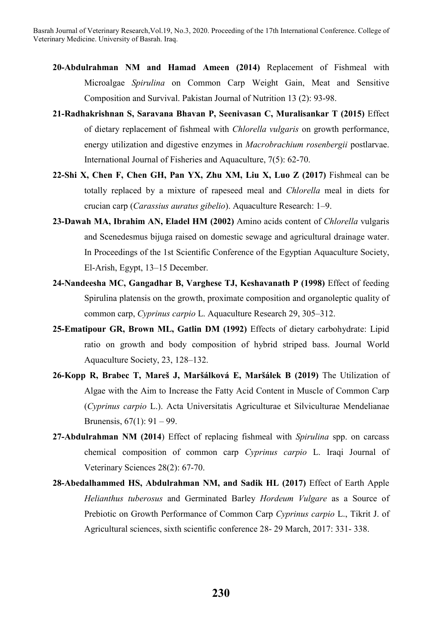- **20-Abdulrahman NM and Hamad Ameen (2014)** Replacement of Fishmeal with Microalgae *Spirulina* on Common Carp Weight Gain, Meat and Sensitive Composition and Survival. Pakistan Journal of Nutrition 13 (2): 93-98.
- **21-Radhakrishnan S, Saravana Bhavan P, Seenivasan C, Muralisankar T (2015)** Effect of dietary replacement of fishmeal with *Chlorella vulgaris* on growth performance, energy utilization and digestive enzymes in *Macrobrachium rosenbergii* postlarvae. International Journal of Fisheries and Aquaculture, 7(5): 62-70.
- **22-Shi X, Chen F, Chen GH, Pan YX, Zhu XM, Liu X, Luo Z (2017)** Fishmeal can be totally replaced by a mixture of rapeseed meal and *Chlorella* meal in diets for crucian carp (*Carassius auratus gibelio*). Aquaculture Research: 1–9.
- **23-Dawah MA, Ibrahim AN, Eladel HM (2002)** Amino acids content of *Chlorella* vulgaris and Scenedesmus bijuga raised on domestic sewage and agricultural drainage water. In Proceedings of the 1st Scientific Conference of the Egyptian Aquaculture Society, El-Arish, Egypt, 13–15 December.
- **24-Nandeesha MC, Gangadhar B, Varghese TJ, Keshavanath P (1998)** Effect of feeding Spirulina platensis on the growth, proximate composition and organoleptic quality of common carp, *Cyprinus carpio* L. Aquaculture Research 29, 305–312.
- **25-Ematipour GR, Brown ML, Gatlin DM (1992)** Effects of dietary carbohydrate: Lipid ratio on growth and body composition of hybrid striped bass. Journal World Aquaculture Society, 23, 128–132.
- **26-Kopp R, Brabec T, Mareš J, Maršálková E, Maršálek B (2019)** The Utilization of Algae with the Aim to Increase the Fatty Acid Content in Muscle of Common Carp (*Cyprinus carpio* L.). Acta Universitatis Agriculturae et Silviculturae Mendelianae Brunensis, 67(1): 91 – 99.
- **27-Abdulrahman NM (2014**) Effect of replacing fishmeal with *Spirulina* spp. on carcass chemical composition of common carp *Cyprinus carpio* L. Iraqi Journal of Veterinary Sciences 28(2): 67-70.
- **28-Abedalhammed HS, Abdulrahman NM, and Sadik HL (2017)** Effect of Earth Apple *Helianthus tuberosus* and Germinated Barley *Hordeum Vulgare* as a Source of Prebiotic on Growth Performance of Common Carp *Cyprinus carpio* L., Tikrit J. of Agricultural sciences, sixth scientific conference 28- 29 March, 2017: 331- 338.